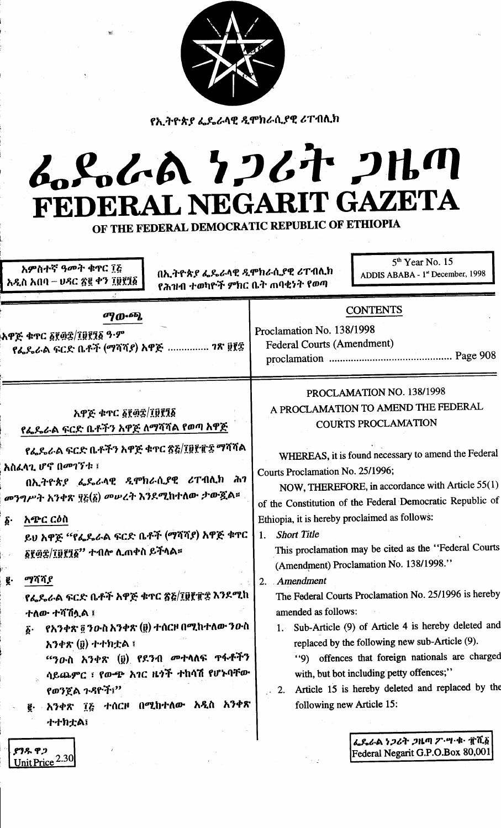

የኢትዮጵያ ፌዴራላዊ ዲሞክራሲያዊ ሪፐብሊክ

## L.S.L.A 7267 2HM **RIT GAZETA** L NEGA FEDER AI

OF THE FEDERAL DEMOCRATIC REPUBLIC OF ETHIOPIA

አምስተኛ ዓመት ቁጥር ፲፭ አዲስ አበባ – ሀዳር ጽ፪ ቀን ፲፱፻፺፩

Unit Price 2.30

በኢትዮጵያ ፌዴራላዊ ዲሞክራሲያዊ ሪፐብሲክ የሕዝብ ተወካዮች ምክር ቤት ጠባቂነት የወጣ

 $5<sup>th</sup>$  Year No. 15 ADDIS ABABA - 1<sup>st</sup> December, 1998

| ማውጫ<br>አዋጅ ቁጥር ፩፻፴፰/፲፱፻፺፩ ዓ·ም<br>የፌዴራል ፍርድ ቤቶች (ማሻሻያ) አዋጅ  ገጽ ፱፻፸ |                                                                                                                                                                                                                                                                                                       | <b>CONTENTS</b><br>Proclamation No. 138/1998<br><b>Federal Courts (Amendment)</b>                                                                                                                                                                                                                                                                                                                                                               |
|-------------------------------------------------------------------|-------------------------------------------------------------------------------------------------------------------------------------------------------------------------------------------------------------------------------------------------------------------------------------------------------|-------------------------------------------------------------------------------------------------------------------------------------------------------------------------------------------------------------------------------------------------------------------------------------------------------------------------------------------------------------------------------------------------------------------------------------------------|
|                                                                   | አዋጅ ቁጥር ፩፻፴፰/፲፱፻፺፩<br>የፌዴራል ፍርድ ቤቶችን አዋጅ <u>ለማሻሻል የወጣ አዋጅ</u>                                                                                                                                                                                                                                         | PROCLAMATION NO. 138/1998<br>A PROCLAMATION TO AMEND THE FEDERAL<br><b>COURTS PROCLAMATION</b>                                                                                                                                                                                                                                                                                                                                                  |
| $\boldsymbol{\delta}$ .                                           | የፌዴራል ፍርድ ቤቶችን አዋጅ ቁተር ጽ፩/፲፱፻፹፰ ማሻሻል<br>አስፌላጊ ሆኖ በመገኘቱ ፤<br>በኢትዮጵያ ፌዴራላዊ ዲሞክራሲያዊ ሪፐብሊክ ሕገ<br>መንግሥት አንቀጽ ፶፩(፩) መሥረት እንደሚከተለው ታውጇል።<br>አጭር ርዕስ<br>ይህ አዋጅ ''የፌዴራል ፍርድ ቤቶች (ማሻሻያ) አዋጅ ቁጥር<br>፩፻፴፰/፲፱፻፺፩" ተብሎ ሊጠቀስ ይችላል።                                                                                   | WHEREAS, it is found necessary to amend the Federal<br>Courts Proclamation No. 25/1996;<br>NOW, THEREFORE, in accordance with Article 55(1)<br>of the Constitution of the Federal Democratic Republic of<br>Ethiopia, it is hereby proclaimed as follows:<br><b>Short Title</b><br>1 <sub>1</sub><br>This proclamation may be cited as the "Federal Courts                                                                                      |
| ğ.                                                                | ማሻሻያ<br>የፌዴራል ፍርድ ቤቶች አዋጅ ቁተር ጽ፩/፲፱፻፹፰ እንደሚከ<br>ተለው ተሻሽሏል ፤<br>የአንቀጽ ፬ ንዑስ አንቀጽ (፱) ተሰርዞ በሚከተለው ንዑስ<br>$\boldsymbol{\delta}$ .<br>አንቀጽ (፱) ተተክቷል ፤<br>"ንውስ አንቀጽ (፱) የደንብ <i>መ</i> ተላለፍ <b>ተፋቶ</b> ችን<br>ሳይጨምር ፣ የውጭ አገር ዜጎች ተከሳሽ የሆኑባቸው<br>የወንጀል ጉዳዮች፤"<br>፪ - አንቀጽ ፲፭ ተሰርዞ በሚከተለው አዲስ አንቀጽ<br>ナナカナム1 | (Amendment) Proclamation No. 138/1998."<br>2. Amendment<br>The Federal Courts Proclamation No. 25/1996 is hereby<br>amended as follows:<br>1. Sub-Article (9) of Article 4 is hereby deleted and<br>replaced by the following new sub-Article (9).<br>"9) offences that foreign nationals are charged<br>with, but bot including petty offences;"<br>Article 15 is hereby deleted and replaced by the<br>$\sim$ 2.<br>following new Article 15: |
|                                                                   | ያንዱ ዋጋ                                                                                                                                                                                                                                                                                                | ፌዶራል ነጋሪት ጋዜጣ ፖ・ሣ・ቁ・ すሺ፩<br>Federal Negarit G.P.O.Box 80.001                                                                                                                                                                                                                                                                                                                                                                                    |

Federal Negarit G.P.O.Box 80,001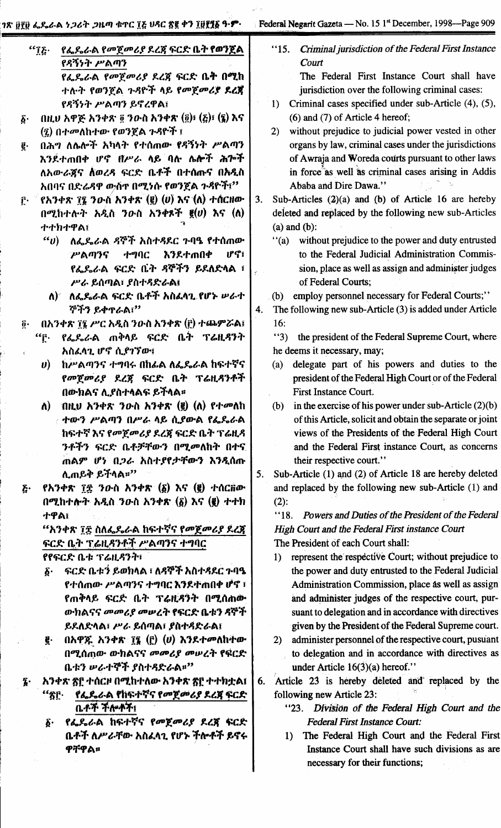1ጽ ፀየፀ ፌዴራል ነ*ጋ*ሪት *ጋ*ዜጣ ቁጥር ፲<u></u>፩ ሀጻር ፳፪ ቀን ፲፱፻፶፩ ዓ·**ም**·

Federal Negarit Gazeta — No. 15 1<sup>st</sup> December, 1998—Page 909

|                       | የፌዶራል የመጀመሪያ ደረጃ ፍርድ ቤት የወንጀል<br>$``\bar{1}\bar{c}$ . |  |
|-----------------------|-------------------------------------------------------|--|
|                       | የዳኝነት ሥልጣን                                            |  |
|                       | የፌዶፊል <i>የመጀመሪያ </i> ደረጃ ፍርድ ቤት በሚከ                   |  |
|                       | ተሉት የወንጀል ጉዳዮች ላይ የመጀመሪያ ደረጃ                          |  |
|                       | የዳኝነት ሥልጣን ይኖረዋል፤                                     |  |
| $\boldsymbol{\delta}$ | በዚህ አዋጅ አንቀጽ ፬ ንውስ አንቀጽ (፬)፣ (፩)፣ (፯) እና              |  |
|                       | (፯) በተመለከተው የወንጀል ጉዳዮች ፤                              |  |
| б.                    | በኋማ አልጸፉች አክለት የተሰጠጡ የደኝነት ሥልጠን                       |  |

- $\vec{e}$ እንደተጠበቀ ሆኖ በሥራ ላይ ባሉ ሌሎች ሕጐች ለአውራጀና ለወረዳ ፍርድ ቤቶች በተሰጡና በአዲስ አበባና በድሬዳዋ ውስጥ በሚነሱ የወንጀል ጉዳዮች፤''
- የአንቀጽ ፲፮ ንውስ አንቀጽ (፪) (ሀ) እና (ለ) ተሰርዘው ŕ. በሚከተሉት አዲስ ንውስ አንቀጾች  $g(v)$  እና (ለ) ተተክተዋል፤
	- ለፌዶሬራል ዳኞች አስተዳደር ጉባዔ የተሰጠው  $\epsilon \epsilon$ <sub>U</sub>) ሥልጣንና ተግባር እንደተጠበቀ ሆኖ፣ የፌዴራል ፍርድ ቤት ዳኞችን ይደለድላል ፣ ሥራ ይሰጣል፣ ያስተዳድራል፤
	- ለ) የ ለፌዴራል ፍርድ ቤቶች አስፈላጊ የሆኑ ሥራተ ኞችን ይቀተራል፡"
- በአንቀጽ ፲፯ ሥር አዲስ ንውስ አንቀጽ (፫) ተጨምሯል፤  $\boldsymbol{\tilde{0}}$  .
	- የፌዴራል ጠቅላይ ፍርድ ቤት ፕሬዚዳንት  $``\mathsf{f}$ . አስፈላጊ ሆኖ ሲያገኘው፤
		- ከሥልጣንና ተግባሩ በከፊል ለፌዴራል ከፍተኛና  $\boldsymbol{\theta}$ የመጀመሪያ ደረጀ ፍርድ ቤት ፕሬዚዳንቶች በውክልና ሊያስተላልፍ ይችላል።
		- ለ) በዚህ አንቀጽ ንውስ አንቀጽ (፪) (ለ) የተመለከ ተውን ሥልጣን በሥራ ላይ ሲያውል የፌዴራል ከፍተኛ እና የመጀመሪያ ደረጃ ፍርድ ቤት ፕሬዚዳ ንቶችን ፍርድ ቤቶቻቸውን በሚመለከት በተና ጠልም ሆነ በ*ጋራ አስተያየታቸውን እንዲ*ሰጡ ሊጠይቅ ይችላል።"
- የአንቀጽ ፲፰ ንውስ አንቀጽ (δ) እና (፪) ተሰርቨው  $\boldsymbol{\tilde{c}}$  . በሚከተሎት አዲስ ንውስ አንቀጽ  $(\underline{\delta})$  እና  $(\underline{\ell})$  ተተክ ተዋል፣

"አንቀጽ ፲፰ ስለፌዴራል ከፍተኛና የመጀመሪያ ደረጃ ፍርድ ቤት ፕሬዚዳንቶች ሥልጣንና ተግባር

የየፍርድ ቤቱ ፕሬዚዳንት፣

- ፍርድ ቤቱን ይወክላል ፣ ለዳኞች አስተዳደር ጉባዔ  $\boldsymbol{\delta}$ የተሰጠው ሥልጣንና ተግባር እንደተጠበቀ ሆኖ ፣ የጠቅላይ ፍርድ ቤት ፕሬዚዳንት በሚሰጠው ውክልናና መመሪያ መሠረት የፍርድ ቤቱን ዳኞች ይደለድላል፣ ሥራ ይሰጣል፣ ያስተዳድራል፤
- በአዋጁ አንቀጽ  $\tilde{B}$  (፫) (ሀ) እንደተመለከተው ę. በሚሰጠው ውክልናና መመሪያ መሠረት የፍርድ ቤቱን ሥራተኞች ያስተዳድራል።"

አንቀጽ ፳፫ ተሰርዞ በሚከተለው አንቀጽ ፳፫ ተተክቷል፤

- የፌዴራል የከፍተኛና የመጀመሪያ ደረጀ ፍርድ "ጽF· ቤቶች ችሎቶች፤
- የፌዶራል ከፍተኛና የመጀመሪያ ደረጃ ፍርድ δ. ቤቶች ለሥራቸው አስፈላጊ የሆኑ ችሎቶች ይኖሩ ዋቸዋል።

 $"15.$ Criminal jurisdiction of the Federal First Instance Court

The Federal First Instance Court shall have jurisdiction over the following criminal cases:

- 1) Criminal cases specified under sub-Article (4), (5),  $(6)$  and  $(7)$  of Article 4 hereof;
- without prejudice to judicial power vested in other  $2)$ organs by law, criminal cases under the jurisdictions of Awraja and Woreda courts pursuant to other laws in force as well as criminal cases arising in Addis Ababa and Dire Dawa."
- Sub-Articles  $(2)(a)$  and (b) of Article 16 are hereby  $3.$ deleted and replaced by the following new sub-Articles  $(a)$  and  $(b)$ :
	- $f'(a)$ without prejudice to the power and duty entrusted to the Federal Judicial Administration Commission, place as well as assign and administer judges of Federal Courts;
	- (b) employ personnel necessary for Federal Courts;"
- $4.$ The following new sub-Article (3) is added under Article  $16:$ 
	- $"3)$ the president of the Federal Supreme Court, where he deems it necessary, may;
	- $(a)$ delegate part of his powers and duties to the president of the Federal High Court or of the Federal First Instance Court.
	- (b) in the exercise of his power under sub-Article  $(2)(b)$ of this Article, solicit and obtain the separate or joint views of the Presidents of the Federal High Court and the Federal First instance Court, as concerns their respective court."
- $5<sub>1</sub>$ Sub-Article (1) and (2) of Article 18 are hereby deleted and replaced by the following new sub-Article (1) and  $(2)$ :

"18. Powers and Duties of the President of the Federal High Court and the Federal First instance Court The President of each Court shall:

- represent the respective Court; without prejudice to  $1)$ the power and duty entrusted to the Federal Judicial Administration Commission, place as well as assign and administer judges of the respective court, pursuant to delegation and in accordance with directives given by the President of the Federal Supreme court.
- $2)$ administer personnel of the respective court, pusuant to delegation and in accordance with directives as under Article  $16(3)(a)$  hereof."

Article 23 is hereby deleted and replaced by the 6. following new Article 23:

- "23. Division of the Federal High Court and the **Federal First Instance Court:**
- 1) The Federal High Court and the Federal First Instance Court shall have such divisions as are necessary for their functions;